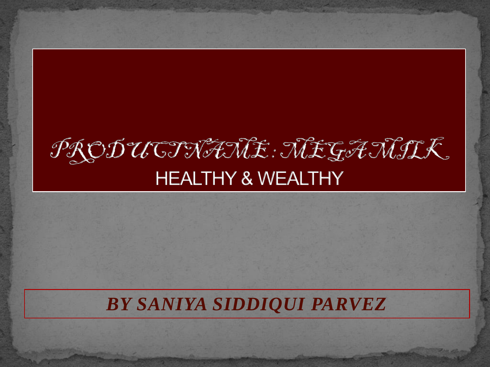#### PRODUCTNANE: NEGANIK **HEALTHY & WEALTHY**

#### *BY SANIYA SIDDIQUI PARVEZ*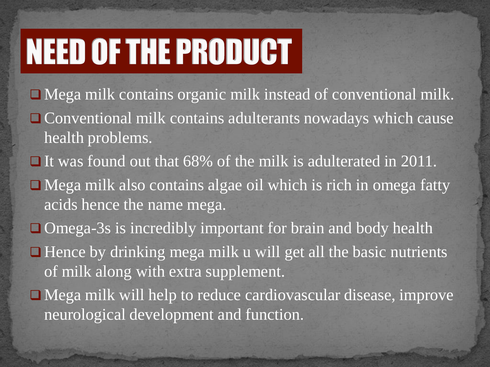# **NEED OF THE PRODUCT**

- Mega milk contains organic milk instead of conventional milk.
- □ Conventional milk contains adulterants nowadays which cause health problems.
- $\Box$  It was found out that 68% of the milk is adulterated in 2011.
- Mega milk also contains algae oil which is rich in omega fatty acids hence the name mega.
- Omega-3s is incredibly important for brain and body health
- $\Box$  Hence by drinking mega milk u will get all the basic nutrients of milk along with extra supplement.
- Mega milk will help to reduce cardiovascular disease, improve neurological development and function.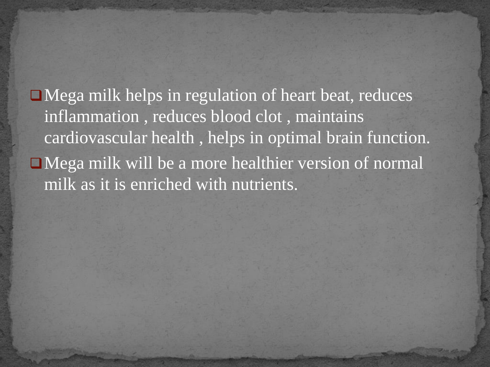Mega milk helps in regulation of heart beat, reduces inflammation , reduces blood clot , maintains cardiovascular health , helps in optimal brain function. Mega milk will be a more healthier version of normal milk as it is enriched with nutrients.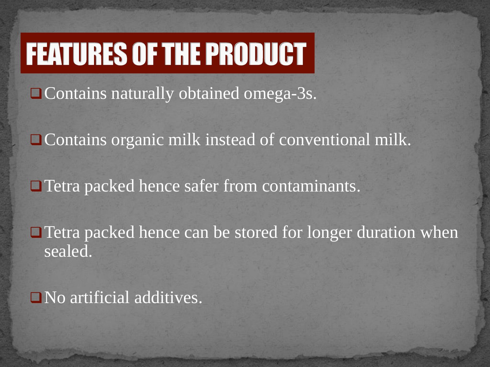## **FEATURES OF THE PRODUCT**

Contains naturally obtained omega-3s.

□ Contains organic milk instead of conventional milk.

Tetra packed hence safer from contaminants.

□ Tetra packed hence can be stored for longer duration when sealed.

No artificial additives.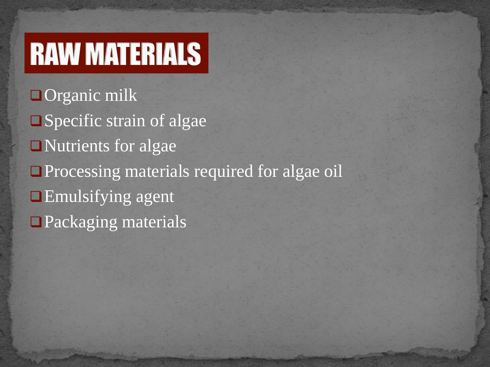# **RAW MATERIALS**

□ Organic milk ■Specific strain of algae Nutrients for algae **Processing materials required for algae oil Emulsifying agent** □ Packaging materials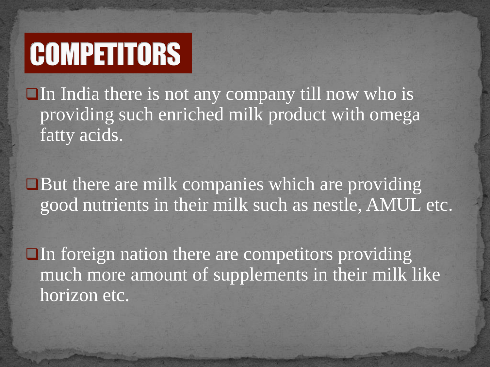# **COMPETITORS**

 $\Box$ In India there is not any company till now who is providing such enriched milk product with omega fatty acids.

But there are milk companies which are providing good nutrients in their milk such as nestle, AMUL etc.

 $\Box$  In foreign nation there are competitors providing much more amount of supplements in their milk like horizon etc.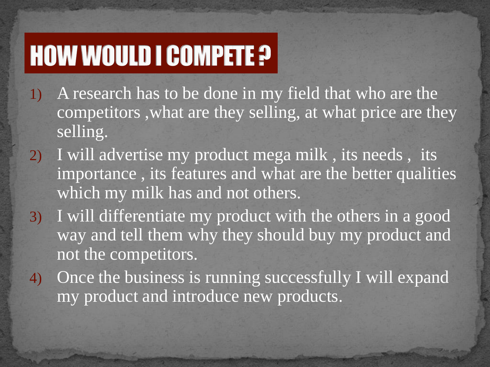### **HOW WOULD I COMPETE ?**

- 1) A research has to be done in my field that who are the competitors ,what are they selling, at what price are they selling.
- 2) I will advertise my product mega milk , its needs , its importance , its features and what are the better qualities which my milk has and not others.
- 3) I will differentiate my product with the others in a good way and tell them why they should buy my product and not the competitors.
- 4) Once the business is running successfully I will expand my product and introduce new products.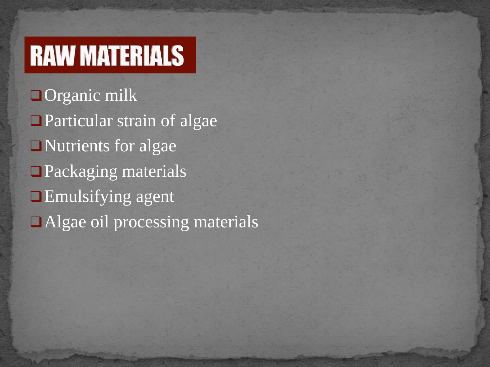### **RAW MATERIALS**

□ Organic milk **Particular strain of algae** Nutrients for algae ■Packaging materials **Emulsifying agent** Algae oil processing materials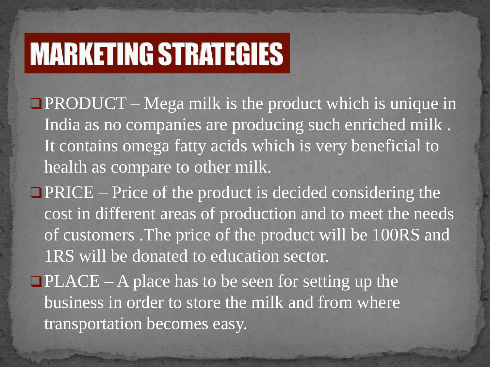## **MARKETING STRATEGIES**

 $\Box$ PRODUCT – Mega milk is the product which is unique in India as no companies are producing such enriched milk . It contains omega fatty acids which is very beneficial to health as compare to other milk.

 $\blacksquare$  PRICE – Price of the product is decided considering the cost in different areas of production and to meet the needs of customers .The price of the product will be 100RS and 1RS will be donated to education sector.

 $\Box$ PLACE – A place has to be seen for setting up the business in order to store the milk and from where transportation becomes easy.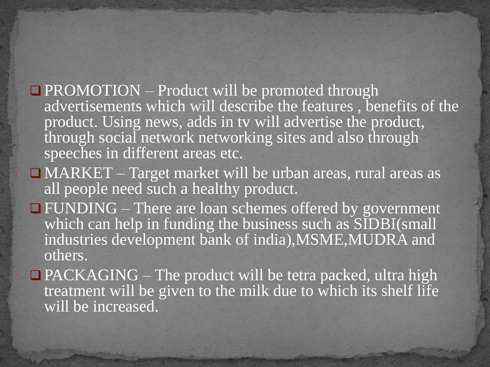- $\Box$  PROMOTION Product will be promoted through advertisements which will describe the features , benefits of the product. Using news, adds in tv will advertise the product, through social network networking sites and also through speeches in different areas etc.
- MARKET Target market will be urban areas, rural areas as all people need such a healthy product.
- FUNDING There are loan schemes offered by government which can help in funding the business such as SIDBI(small industries development bank of india),MSME,MUDRA and others.
- $\Box$  PACKAGING The product will be tetra packed, ultra high treatment will be given to the milk due to which its shelf life will be increased.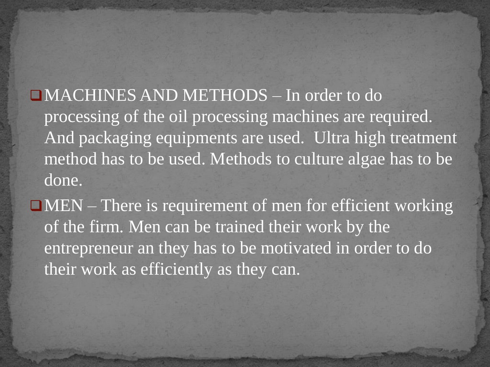MACHINES AND METHODS – In order to do processing of the oil processing machines are required. And packaging equipments are used. Ultra high treatment method has to be used. Methods to culture algae has to be done.

 $\Box$ MEN – There is requirement of men for efficient working of the firm. Men can be trained their work by the entrepreneur an they has to be motivated in order to do their work as efficiently as they can.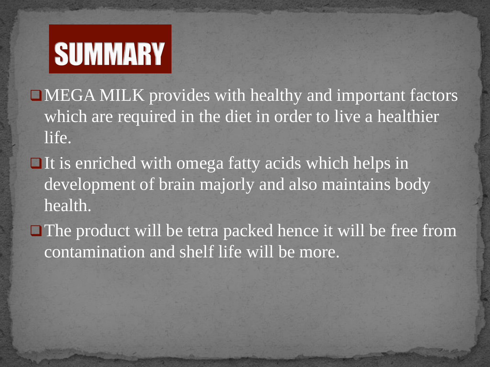# **SUMMARY**

MEGA MILK provides with healthy and important factors which are required in the diet in order to live a healthier life.

- $\Box$  It is enriched with omega fatty acids which helps in development of brain majorly and also maintains body health.
- $\Box$  The product will be tetra packed hence it will be free from contamination and shelf life will be more.